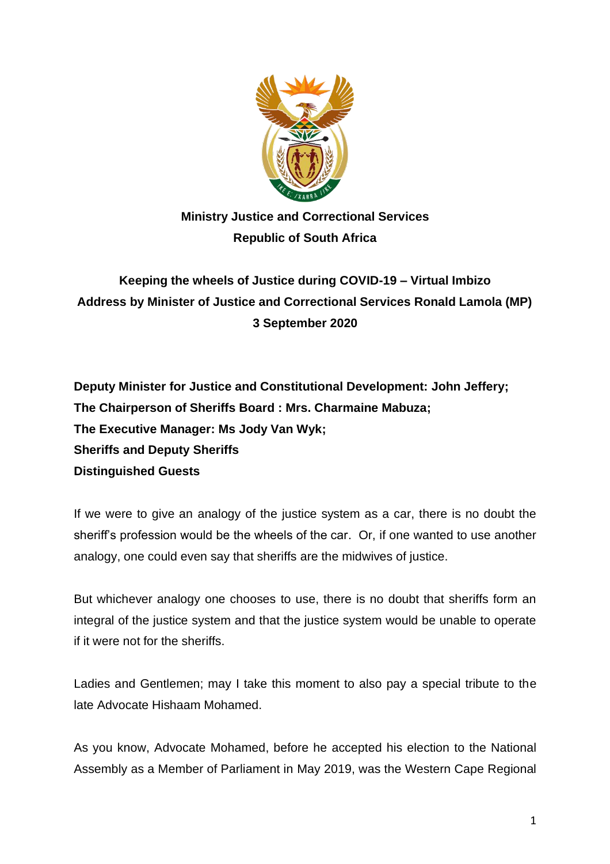

## **Ministry Justice and Correctional Services Republic of South Africa**

## **Keeping the wheels of Justice during COVID-19 – Virtual Imbizo Address by Minister of Justice and Correctional Services Ronald Lamola (MP) 3 September 2020**

**Deputy Minister for Justice and Constitutional Development: John Jeffery; The Chairperson of Sheriffs Board : Mrs. Charmaine Mabuza; The Executive Manager: Ms Jody Van Wyk; Sheriffs and Deputy Sheriffs Distinguished Guests**

If we were to give an analogy of the justice system as a car, there is no doubt the sheriff's profession would be the wheels of the car. Or, if one wanted to use another analogy, one could even say that sheriffs are the midwives of justice.

But whichever analogy one chooses to use, there is no doubt that sheriffs form an integral of the justice system and that the justice system would be unable to operate if it were not for the sheriffs.

Ladies and Gentlemen; may I take this moment to also pay a special tribute to the late Advocate Hishaam Mohamed.

As you know, Advocate Mohamed, before he accepted his election to the National Assembly as a Member of Parliament in May 2019, was the Western Cape Regional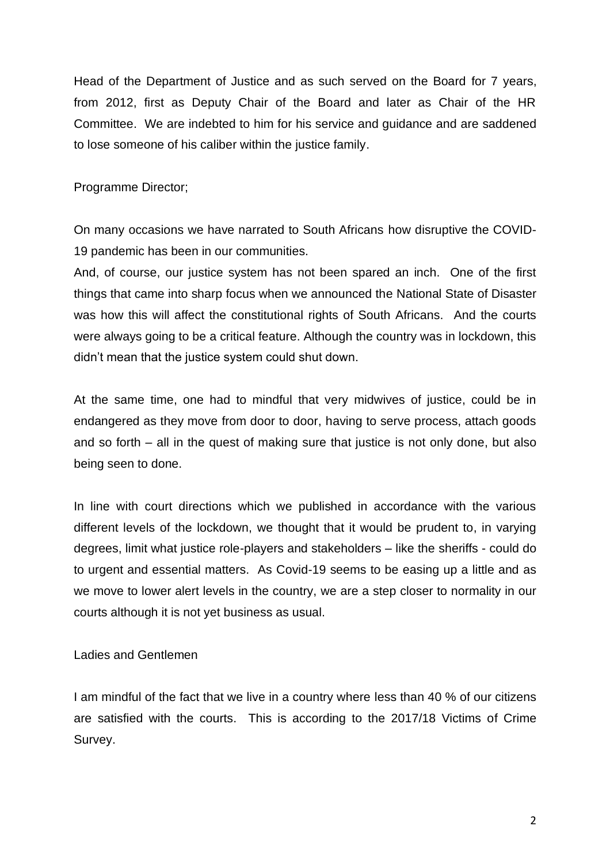Head of the Department of Justice and as such served on the Board for 7 years, from 2012, first as Deputy Chair of the Board and later as Chair of the HR Committee. We are indebted to him for his service and guidance and are saddened to lose someone of his caliber within the justice family.

Programme Director;

On many occasions we have narrated to South Africans how disruptive the COVID-19 pandemic has been in our communities.

And, of course, our justice system has not been spared an inch. One of the first things that came into sharp focus when we announced the National State of Disaster was how this will affect the constitutional rights of South Africans. And the courts were always going to be a critical feature. Although the country was in lockdown, this didn't mean that the justice system could shut down.

At the same time, one had to mindful that very midwives of justice, could be in endangered as they move from door to door, having to serve process, attach goods and so forth – all in the quest of making sure that justice is not only done, but also being seen to done.

In line with court directions which we published in accordance with the various different levels of the lockdown, we thought that it would be prudent to, in varying degrees, limit what justice role-players and stakeholders – like the sheriffs - could do to urgent and essential matters. As Covid-19 seems to be easing up a little and as we move to lower alert levels in the country, we are a step closer to normality in our courts although it is not yet business as usual.

Ladies and Gentlemen

I am mindful of the fact that we live in a country where less than 40 % of our citizens are satisfied with the courts. This is according to the 2017/18 Victims of Crime Survey.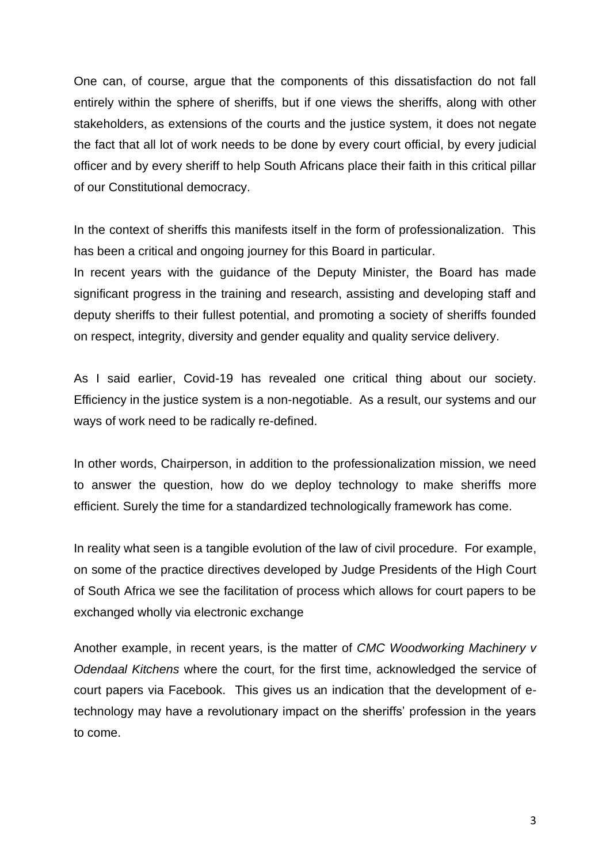One can, of course, argue that the components of this dissatisfaction do not fall entirely within the sphere of sheriffs, but if one views the sheriffs, along with other stakeholders, as extensions of the courts and the justice system, it does not negate the fact that all lot of work needs to be done by every court official, by every judicial officer and by every sheriff to help South Africans place their faith in this critical pillar of our Constitutional democracy.

In the context of sheriffs this manifests itself in the form of professionalization. This has been a critical and ongoing journey for this Board in particular.

In recent years with the guidance of the Deputy Minister, the Board has made significant progress in the training and research, assisting and developing staff and deputy sheriffs to their fullest potential, and promoting a society of sheriffs founded on respect, integrity, diversity and gender equality and quality service delivery.

As I said earlier, Covid-19 has revealed one critical thing about our society. Efficiency in the justice system is a non-negotiable. As a result, our systems and our ways of work need to be radically re-defined.

In other words, Chairperson, in addition to the professionalization mission, we need to answer the question, how do we deploy technology to make sheriffs more efficient. Surely the time for a standardized technologically framework has come.

In reality what seen is a tangible evolution of the law of civil procedure. For example, on some of the practice directives developed by Judge Presidents of the High Court of South Africa we see the facilitation of process which allows for court papers to be exchanged wholly via electronic exchange

Another example, in recent years, is the matter of *CMC Woodworking Machinery v Odendaal Kitchens* where the court, for the first time, acknowledged the service of court papers via Facebook. This gives us an indication that the development of etechnology may have a revolutionary impact on the sheriffs' profession in the years to come.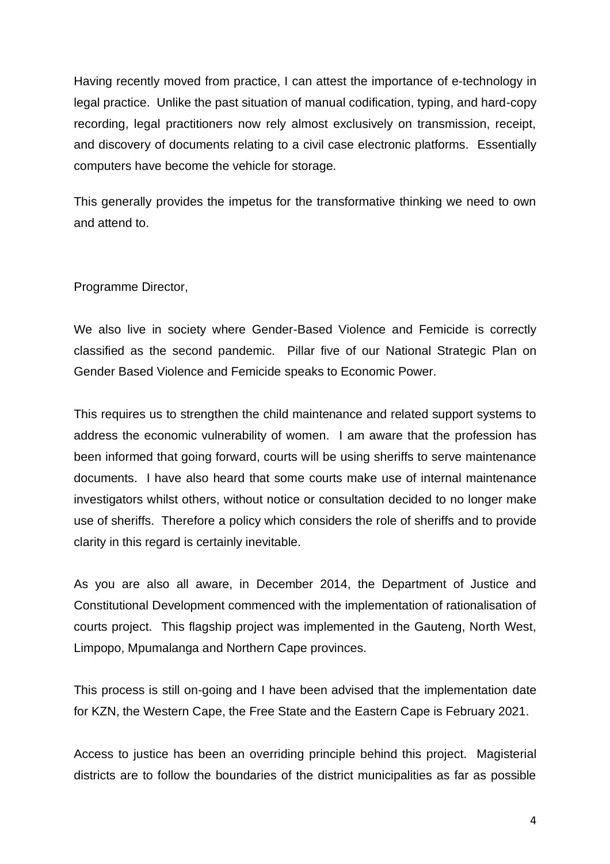Having recently moved from practice, I can attest the importance of e-technology in legal practice. Unlike the past situation of manual codification, typing, and hard-copy recording, legal practitioners now rely almost exclusively on transmission, receipt, and discovery of documents relating to a civil case electronic platforms. Essentially computers have become the vehicle for storage.

This generally provides the impetus for the transformative thinking we need to own and attend to.

Programme Director,

We also live in society where Gender-Based Violence and Femicide is correctly classified as the second pandemic. Pillar five of our National Strategic Plan on Gender Based Violence and Femicide speaks to Economic Power.

This requires us to strengthen the child maintenance and related support systems to address the economic vulnerability of women. I am aware that the profession has been informed that going forward, courts will be using sheriffs to serve maintenance documents. I have also heard that some courts make use of internal maintenance investigators whilst others, without notice or consultation decided to no longer make use of sheriffs. Therefore a policy which considers the role of sheriffs and to provide clarity in this regard is certainly inevitable.

As you are also all aware, in December 2014, the Department of Justice and Constitutional Development commenced with the implementation of rationalisation of courts project. This flagship project was implemented in the Gauteng, North West, Limpopo, Mpumalanga and Northern Cape provinces.

This process is still on-going and I have been advised that the implementation date for KZN, the Western Cape, the Free State and the Eastern Cape is February 2021.

Access to justice has been an overriding principle behind this project. Magisterial districts are to follow the boundaries of the district municipalities as far as possible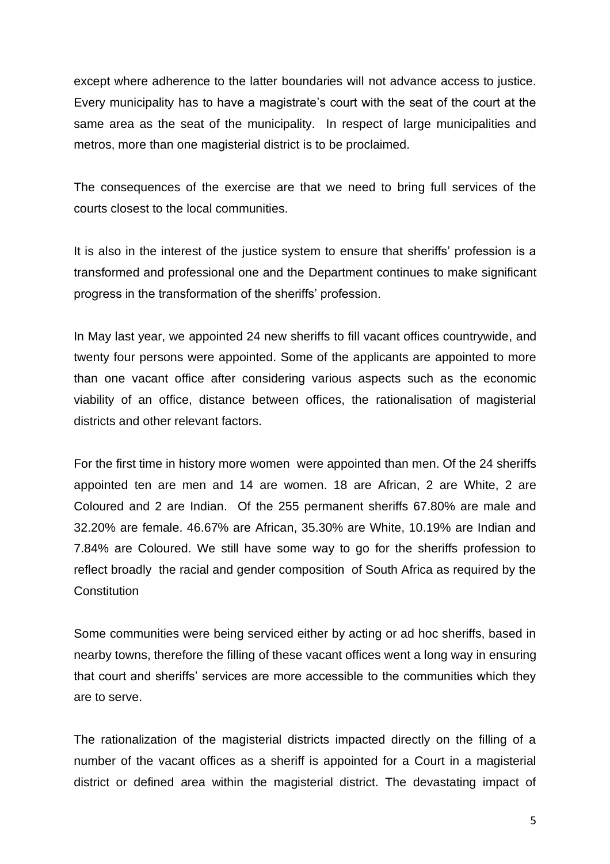except where adherence to the latter boundaries will not advance access to justice. Every municipality has to have a magistrate's court with the seat of the court at the same area as the seat of the municipality. In respect of large municipalities and metros, more than one magisterial district is to be proclaimed.

The consequences of the exercise are that we need to bring full services of the courts closest to the local communities.

It is also in the interest of the justice system to ensure that sheriffs' profession is a transformed and professional one and the Department continues to make significant progress in the transformation of the sheriffs' profession.

In May last year, we appointed 24 new sheriffs to fill vacant offices countrywide, and twenty four persons were appointed. Some of the applicants are appointed to more than one vacant office after considering various aspects such as the economic viability of an office, distance between offices, the rationalisation of magisterial districts and other relevant factors.

For the first time in history more women were appointed than men. Of the 24 sheriffs appointed ten are men and 14 are women. 18 are African, 2 are White, 2 are Coloured and 2 are Indian. Of the 255 permanent sheriffs 67.80% are male and 32.20% are female. 46.67% are African, 35.30% are White, 10.19% are Indian and 7.84% are Coloured. We still have some way to go for the sheriffs profession to reflect broadly the racial and gender composition of South Africa as required by the **Constitution** 

Some communities were being serviced either by acting or ad hoc sheriffs, based in nearby towns, therefore the filling of these vacant offices went a long way in ensuring that court and sheriffs' services are more accessible to the communities which they are to serve.

The rationalization of the magisterial districts impacted directly on the filling of a number of the vacant offices as a sheriff is appointed for a Court in a magisterial district or defined area within the magisterial district. The devastating impact of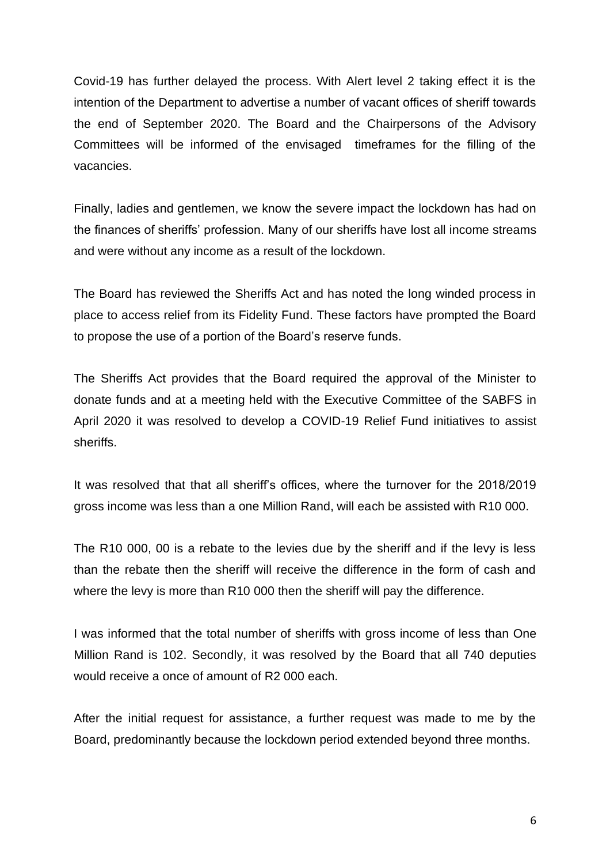Covid-19 has further delayed the process. With Alert level 2 taking effect it is the intention of the Department to advertise a number of vacant offices of sheriff towards the end of September 2020. The Board and the Chairpersons of the Advisory Committees will be informed of the envisaged timeframes for the filling of the vacancies.

Finally, ladies and gentlemen, we know the severe impact the lockdown has had on the finances of sheriffs' profession. Many of our sheriffs have lost all income streams and were without any income as a result of the lockdown.

The Board has reviewed the Sheriffs Act and has noted the long winded process in place to access relief from its Fidelity Fund. These factors have prompted the Board to propose the use of a portion of the Board's reserve funds.

The Sheriffs Act provides that the Board required the approval of the Minister to donate funds and at a meeting held with the Executive Committee of the SABFS in April 2020 it was resolved to develop a COVID-19 Relief Fund initiatives to assist sheriffs.

It was resolved that that all sheriff's offices, where the turnover for the 2018/2019 gross income was less than a one Million Rand, will each be assisted with R10 000.

The R10 000, 00 is a rebate to the levies due by the sheriff and if the levy is less than the rebate then the sheriff will receive the difference in the form of cash and where the levy is more than R10 000 then the sheriff will pay the difference.

I was informed that the total number of sheriffs with gross income of less than One Million Rand is 102. Secondly, it was resolved by the Board that all 740 deputies would receive a once of amount of R2 000 each.

After the initial request for assistance, a further request was made to me by the Board, predominantly because the lockdown period extended beyond three months.